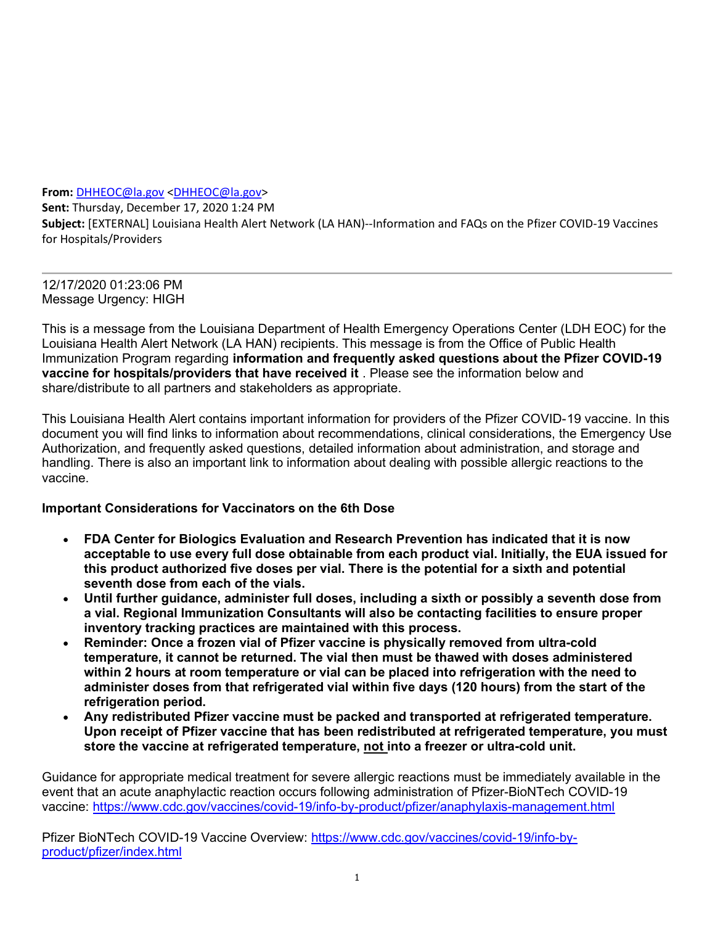From: DHHEOC@la.gov <DHHEOC@la.gov>

Sent: Thursday, December 17, 2020 1:24 PM Subject: [EXTERNAL] Louisiana Health Alert Network (LA HAN)--Information and FAQs on the Pfizer COVID-19 Vaccines for Hospitals/Providers

12/17/2020 01:23:06 PM Message Urgency: HIGH

This is a message from the Louisiana Department of Health Emergency Operations Center (LDH EOC) for the Louisiana Health Alert Network (LA HAN) recipients. This message is from the Office of Public Health Immunization Program regarding information and frequently asked questions about the Pfizer COVID-19 vaccine for hospitals/providers that have received it . Please see the information below and share/distribute to all partners and stakeholders as appropriate.

This Louisiana Health Alert contains important information for providers of the Pfizer COVID-19 vaccine. In this document you will find links to information about recommendations, clinical considerations, the Emergency Use Authorization, and frequently asked questions, detailed information about administration, and storage and handling. There is also an important link to information about dealing with possible allergic reactions to the vaccine.

## Important Considerations for Vaccinators on the 6th Dose

- FDA Center for Biologics Evaluation and Research Prevention has indicated that it is now acceptable to use every full dose obtainable from each product vial. Initially, the EUA issued for this product authorized five doses per vial. There is the potential for a sixth and potential seventh dose from each of the vials.
- Until further guidance, administer full doses, including a sixth or possibly a seventh dose from a vial. Regional Immunization Consultants will also be contacting facilities to ensure proper inventory tracking practices are maintained with this process.
- Reminder: Once a frozen vial of Pfizer vaccine is physically removed from ultra-cold temperature, it cannot be returned. The vial then must be thawed with doses administered within 2 hours at room temperature or vial can be placed into refrigeration with the need to administer doses from that refrigerated vial within five days (120 hours) from the start of the refrigeration period.
- Any redistributed Pfizer vaccine must be packed and transported at refrigerated temperature. Upon receipt of Pfizer vaccine that has been redistributed at refrigerated temperature, you must store the vaccine at refrigerated temperature, not into a freezer or ultra-cold unit.

Guidance for appropriate medical treatment for severe allergic reactions must be immediately available in the event that an acute anaphylactic reaction occurs following administration of Pfizer-BioNTech COVID-19 vaccine: https://www.cdc.gov/vaccines/covid-19/info-by-product/pfizer/anaphylaxis-management.html

Pfizer BioNTech COVID-19 Vaccine Overview: https://www.cdc.gov/vaccines/covid-19/info-byproduct/pfizer/index.html